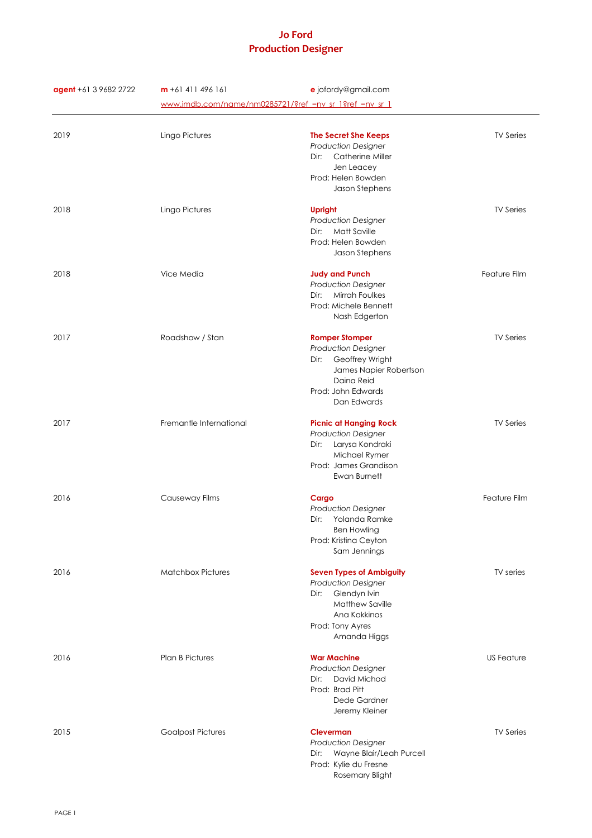| agent +61 3 9682 2722 | $m + 61411496161$                                      | e jofordy@gmail.com                                |                   |
|-----------------------|--------------------------------------------------------|----------------------------------------------------|-------------------|
|                       | www.imdb.com/name/nm0285721/?ref_=nv_sr_1?ref_=nv_sr_1 |                                                    |                   |
|                       |                                                        |                                                    |                   |
| 2019                  | Lingo Pictures                                         | <b>The Secret She Keeps</b>                        | <b>TV Series</b>  |
|                       |                                                        | <b>Production Designer</b>                         |                   |
|                       |                                                        | <b>Catherine Miller</b><br>Dir:                    |                   |
|                       |                                                        | Jen Leacey<br>Prod: Helen Bowden                   |                   |
|                       |                                                        | Jason Stephens                                     |                   |
| 2018                  | Lingo Pictures                                         | <b>Upright</b>                                     | <b>TV Series</b>  |
|                       |                                                        | <b>Production Designer</b>                         |                   |
|                       |                                                        | Matt Saville<br>Dir:                               |                   |
|                       |                                                        | Prod: Helen Bowden                                 |                   |
|                       |                                                        | Jason Stephens                                     |                   |
| 2018                  | Vice Media                                             | <b>Judy and Punch</b>                              | Feature Film      |
|                       |                                                        | <b>Production Designer</b>                         |                   |
|                       |                                                        | Dir:<br>Mirrah Foulkes                             |                   |
|                       |                                                        | Prod: Michele Bennett                              |                   |
|                       |                                                        | Nash Edgerton                                      |                   |
| 2017                  | Roadshow / Stan                                        | <b>Romper Stomper</b>                              | <b>TV Series</b>  |
|                       |                                                        | <b>Production Designer</b><br>Dir: Geoffrey Wright |                   |
|                       |                                                        | James Napier Robertson                             |                   |
|                       |                                                        | Daina Reid                                         |                   |
|                       |                                                        | Prod: John Edwards                                 |                   |
|                       |                                                        | Dan Edwards                                        |                   |
| 2017                  | Fremantle International                                | <b>Picnic at Hanging Rock</b>                      | <b>TV Series</b>  |
|                       |                                                        | <b>Production Designer</b>                         |                   |
|                       |                                                        | Larysa Kondraki<br>Dir:                            |                   |
|                       |                                                        | Michael Rymer<br>Prod: James Grandison             |                   |
|                       |                                                        | Ewan Burnett                                       |                   |
| 2016                  | Causeway Films                                         | Cargo                                              | Feature Film      |
|                       |                                                        | <b>Production Designer</b>                         |                   |
|                       |                                                        | Yolanda Ramke<br>Dir:                              |                   |
|                       |                                                        | <b>Ben Howling</b>                                 |                   |
|                       |                                                        | Prod: Kristina Ceyton                              |                   |
|                       |                                                        | Sam Jennings                                       |                   |
| 2016                  | <b>Matchbox Pictures</b>                               | <b>Seven Types of Ambiguity</b>                    | TV series         |
|                       |                                                        | <b>Production Designer</b>                         |                   |
|                       |                                                        | Glendyn Ivin<br>Dir:                               |                   |
|                       |                                                        | <b>Matthew Saville</b><br>Ana Kokkinos             |                   |
|                       |                                                        | Prod: Tony Ayres                                   |                   |
|                       |                                                        | Amanda Higgs                                       |                   |
| 2016                  | <b>Plan B Pictures</b>                                 | <b>War Machine</b>                                 | <b>US Feature</b> |
|                       |                                                        | <b>Production Designer</b>                         |                   |
|                       |                                                        | David Michod<br>Dir:                               |                   |
|                       |                                                        | Prod: Brad Pitt                                    |                   |
|                       |                                                        | Dede Gardner<br>Jeremy Kleiner                     |                   |
|                       |                                                        |                                                    |                   |
| 2015                  | <b>Goalpost Pictures</b>                               | <b>Cleverman</b><br><b>Production Designer</b>     | <b>TV Series</b>  |
|                       |                                                        | Dir: Wayne Blair/Leah Purcell                      |                   |
|                       |                                                        | Prod: Kylie du Fresne                              |                   |
|                       |                                                        | Rosemary Blight                                    |                   |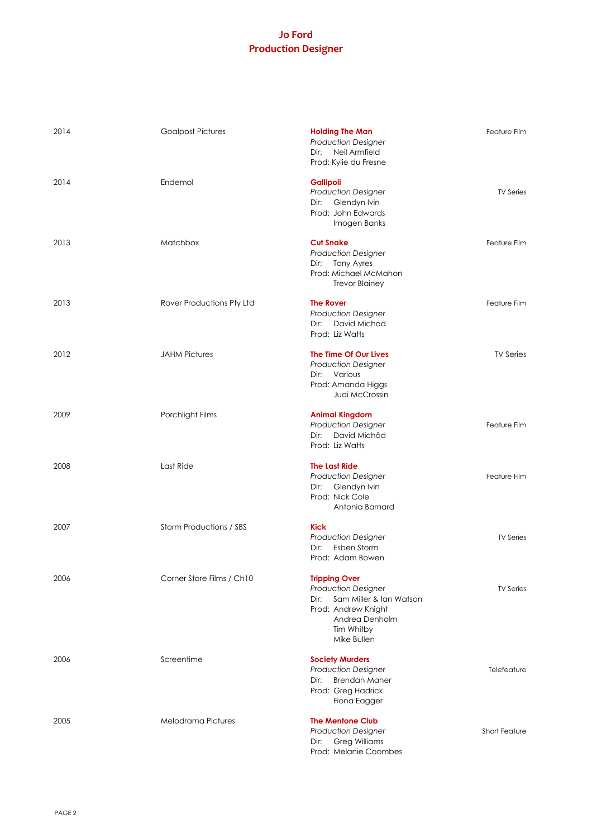| 2014 | <b>Goalpost Pictures</b>       | <b>Holding The Man</b><br><b>Production Designer</b><br>Dir: Neil Armfield<br>Prod: Kylie du Fresne                                                         | Feature Film         |
|------|--------------------------------|-------------------------------------------------------------------------------------------------------------------------------------------------------------|----------------------|
| 2014 | Endemol                        | <b>Gallipoli</b><br><b>Production Designer</b><br>Glendyn Ivin<br>Dir:<br>Prod: John Edwards<br>Imogen Banks                                                | <b>TV Series</b>     |
| 2013 | Matchbox                       | <b>Cut Snake</b><br><b>Production Designer</b><br>Dir: Tony Ayres<br>Prod: Michael McMahon<br><b>Trevor Blainey</b>                                         | Feature Film         |
| 2013 | Rover Productions Pty Ltd      | <b>The Rover</b><br><b>Production Designer</b><br>Dir: David Michod<br>Prod: Liz Watts                                                                      | Feature Film         |
| 2012 | <b>JAHM Pictures</b>           | The Time Of Our Lives<br><b>Production Designer</b><br>Dir: Various<br>Prod: Amanda Higgs<br><b>Judi McCrossin</b>                                          | <b>TV Series</b>     |
| 2009 | Porchlight Films               | <b>Animal Kingdom</b><br><b>Production Designer</b><br>David Michôd<br>Dir:<br>Prod: Liz Watts                                                              | Feature Film         |
| 2008 | Last Ride                      | <b>The Last Ride</b><br><b>Production Designer</b><br>Dir: Glendyn Ivin<br>Prod: Nick Cole<br>Antonia Barnard                                               | Feature Film         |
| 2007 | <b>Storm Productions / SBS</b> | Kick<br><b>Production Designer</b><br>Esben Storm<br>Dir:<br>Prod: Adam Bowen                                                                               | <b>TV Series</b>     |
| 2006 | Corner Store Films / Ch10      | <b>Tripping Over</b><br><b>Production Designer</b><br>Sam Miller & Ian Watson<br>Dir:<br>Prod: Andrew Knight<br>Andrea Denholm<br>Tim Whitby<br>Mike Bullen | <b>TV Series</b>     |
| 2006 | Screentime                     | <b>Society Murders</b><br><b>Production Designer</b><br><b>Brendan Maher</b><br>Dir:<br>Prod: Greg Hadrick<br>Fiona Eagger                                  | Telefeature          |
| 2005 | Melodrama Pictures             | <b>The Mentone Club</b><br><b>Production Designer</b><br><b>Greg Williams</b><br>Dir:<br>Prod: Melanie Coombes                                              | <b>Short Feature</b> |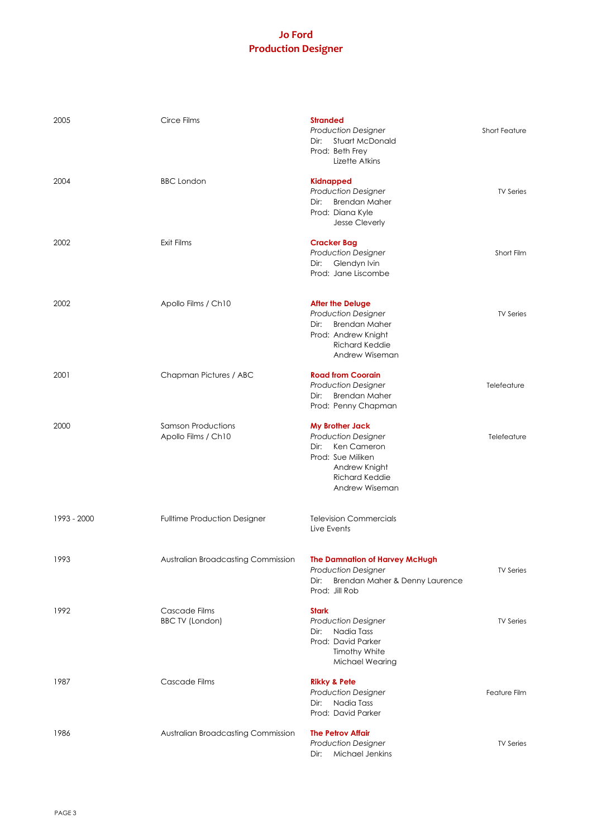| 2005        | Circe Films                                      | <b>Stranded</b><br><b>Production Designer</b><br><b>Stuart McDonald</b><br>Dir:<br>Prod: Beth Frey<br>Lizette Atkins                                      | <b>Short Feature</b> |
|-------------|--------------------------------------------------|-----------------------------------------------------------------------------------------------------------------------------------------------------------|----------------------|
| 2004        | <b>BBC</b> London                                | <b>Kidnapped</b><br><b>Production Designer</b><br><b>Brendan Maher</b><br>Dir:<br>Prod: Diana Kyle<br><b>Jesse Cleverly</b>                               | <b>TV Series</b>     |
| 2002        | Exit Films                                       | <b>Cracker Bag</b><br><b>Production Designer</b><br>Glendyn Ivin<br>Dir:<br>Prod: Jane Liscombe                                                           | Short Film           |
| 2002        | Apollo Films / Ch10                              | <b>After the Deluge</b><br><b>Production Designer</b><br><b>Brendan Maher</b><br>Dir:<br>Prod: Andrew Knight<br><b>Richard Keddie</b><br>Andrew Wiseman   | <b>TV Series</b>     |
| 2001        | Chapman Pictures / ABC                           | <b>Road from Coorain</b><br><b>Production Designer</b><br><b>Brendan Maher</b><br>Dir:<br>Prod: Penny Chapman                                             | Telefeature          |
| 2000        | <b>Samson Productions</b><br>Apollo Films / Ch10 | <b>My Brother Jack</b><br><b>Production Designer</b><br>Dir: Ken Cameron<br>Prod: Sue Miliken<br>Andrew Knight<br><b>Richard Keddie</b><br>Andrew Wiseman | Telefeature          |
| 1993 - 2000 | <b>Fulltime Production Designer</b>              | <b>Television Commercials</b><br>Live Events                                                                                                              |                      |
| 1993        | Australian Broadcasting Commission               | The Damnation of Harvey McHugh<br><b>Production Designer</b><br>Brendan Maher & Denny Laurence<br>Dir:<br>Prod: Jill Rob                                  | <b>TV Series</b>     |
| 1992        | Cascade Films<br><b>BBC TV (London)</b>          | <b>Stark</b><br><b>Production Designer</b><br>Nadia Tass<br>Dir:<br>Prod: David Parker<br><b>Timothy White</b><br>Michael Wearing                         | <b>TV Series</b>     |
| 1987        | Cascade Films                                    | <b>Rikky &amp; Pete</b><br><b>Production Designer</b><br>Dir: Nadia Tass<br>Prod: David Parker                                                            | Feature Film         |
| 1986        | Australian Broadcasting Commission               | <b>The Petrov Affair</b><br><b>Production Designer</b><br>Michael Jenkins<br>Dir:                                                                         | <b>TV Series</b>     |